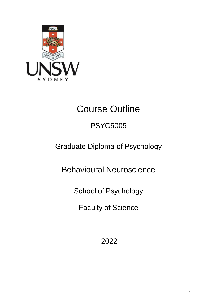

# Course Outline

# PSYC5005

# Graduate Diploma of Psychology

Behavioural Neuroscience

School of Psychology

Faculty of Science

2022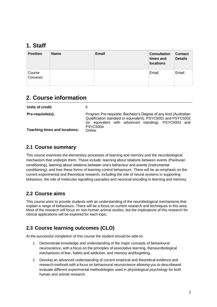### **1. Staff**

| <b>Position</b>    | <b>Name</b> | <b>Email</b> | <b>Consultation</b><br>times and<br><b>locations</b> | <b>Contact</b><br><b>Details</b> |
|--------------------|-------------|--------------|------------------------------------------------------|----------------------------------|
| Course<br>Convenor |             |              | Email                                                | Email                            |

# **2. Course information**

| Units of credit:                                                 |                                                                                                                                                                                                                       |
|------------------------------------------------------------------|-----------------------------------------------------------------------------------------------------------------------------------------------------------------------------------------------------------------------|
| <b>Pre-requisite(s):</b><br><b>Teaching times and locations:</b> | Program Pre-requisite: Bachelor's Degree of any kind (Australian<br>Qualification standard or equivalent). PSYC5001 and PSYC5002<br>(or equivalent with advanced standing), PSYC5003 and<br><b>PSYC5004</b><br>Online |

#### **2.1 Course summary**

This course examines the elementary processes of learning and memory and the neurobiological mechanism that underpin them. These include: learning about relations between events (Pavlovian conditioning), learning about relations between one's behaviour and events (Instrumental conditioning), and how these forms of learning control behaviours. There will be an emphasis on the current experimental and theoretical research, including the role of neural systems in supporting behaviour, the role of molecular signalling cascades and neuronal encoding in learning and memory.

#### **2.2 Course aims**

This course aims to provide students with an understanding of the neurobiological mechanisms that explain a range of behaviours. There will be a focus on current research and techniques in this area. Most of the research will focus on non-human animal studies, but the implications of this research for clinical applications will be explored for each topic.

### **2.3 Course learning outcomes (CLO)**

At the successful completion of this course the student should be able to:

- 1. Demonstrate knowledge and understanding of the major concepts of behavioural neuroscience, with a focus on the principles ofassociative learning, theneurobiological mechanisms of fear, habits and addiction, and memory andforgetting.
- 2. Develop an advanced understanding of current empirical and theoretical evidence and research methods with a focus on behavioural neuroscience allowing you to describeand evaluate different experimental methodologies used in physiological psychology for both human and animal research.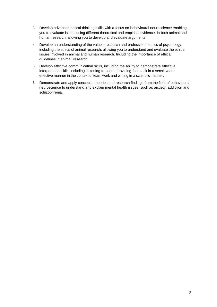- 3. Develop advanced critical thinking skills with a focus on behavioural neuroscience enabling you to evaluate issues using different theoretical and empirical evidence, in both animal and human research, allowing you to develop and evaluate arguments.
- 4. Develop an understanding of the values, research and professional ethics of psychology, including the ethics of animal research, allowing you to understand and evaluate the ethical issues involved in animal and human research. Including the importance of ethical guidelines in animal research.
- 5. Develop effective communication skills, including the ability to demonstrate effective interpersonal skills including: listening to peers, providing feedback in a sensitiveand effective manner in the context of team work and writing in a scientific manner.
- 6. Demonstrate and apply concepts, theories and research findings from the field of behavioural neuroscience to understand and explain mental health issues, such as anxiety, addiction and schizophrenia.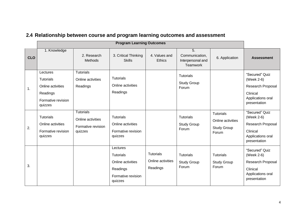|            |                                                                                                |                                                                        | <b>Program Learning Outcomes</b>                                                        |                                                   |                                                                            |                                                                      |                                                                                                           |
|------------|------------------------------------------------------------------------------------------------|------------------------------------------------------------------------|-----------------------------------------------------------------------------------------|---------------------------------------------------|----------------------------------------------------------------------------|----------------------------------------------------------------------|-----------------------------------------------------------------------------------------------------------|
| <b>CLO</b> | 1. Knowledge                                                                                   | 2. Research<br>Methods                                                 | 3. Critical Thinking<br><b>Skills</b>                                                   | 4. Values and<br><b>Ethics</b>                    | $\overline{5}$ .<br>Communication,<br>Interpersonal and<br><b>Teamwork</b> | 6. Application                                                       | <b>Assessment</b>                                                                                         |
| 1.         | Lectures<br><b>Tutorials</b><br>Online activities<br>Readings<br>Formative revision<br>quizzes | <b>Tutorials</b><br>Online activities<br>Readings                      | <b>Tutorials</b><br>Online activities<br>Readings                                       |                                                   | <b>Tutorials</b><br><b>Study Group</b><br>Forum                            |                                                                      | "Secured" Quiz<br>(Week 2-6)<br><b>Research Proposal</b><br>Clinical<br>Applications oral<br>presentation |
| 2.         | <b>Tutorials</b><br>Online activities<br>Formative revision<br>quizzes                         | <b>Tutorials</b><br>Online activities<br>Formative revision<br>quizzes | <b>Tutorials</b><br>Online activities<br>Formative revision<br>quizzes                  |                                                   | <b>Tutorials</b><br><b>Study Group</b><br>Forum                            | <b>Tutorials</b><br>Online activities<br><b>Study Group</b><br>Forum | "Secured" Quiz<br>(Week 2-6)<br>Research Proposal<br>Clinical<br>Applications oral<br>presentation        |
| 3.         |                                                                                                |                                                                        | Lectures<br>Tutorials<br>Online activities<br>Readings<br>Formative revision<br>quizzes | <b>Tutorials</b><br>Online activities<br>Readings | <b>Tutorials</b><br><b>Study Group</b><br>Forum                            | <b>Tutorials</b><br><b>Study Group</b><br>Forum                      | "Secured" Quiz<br>(Week 2-6)<br>Research Proposal<br>Clinical<br>Applications oral<br>presentation        |

# **2.4 Relationship between course and program learning outcomes and assessment**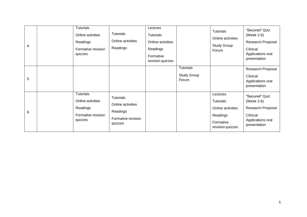| 4. | <b>Tutorials</b><br>Online activities<br>Readings<br>quizzes | Tutorials<br>Readings<br>Formative revision            | Online activities                       | Lectures<br>Tutorials<br>Online activities<br>Readings<br>Formative<br>revision quizzes |                                                 | <b>Tutorials</b><br>Online activities<br>Study Group<br>Forum                                  | "Secured" Quiz<br>(Week 2-6)<br>Research Proposal<br>Clinical<br>Applications oral<br>presentation |
|----|--------------------------------------------------------------|--------------------------------------------------------|-----------------------------------------|-----------------------------------------------------------------------------------------|-------------------------------------------------|------------------------------------------------------------------------------------------------|----------------------------------------------------------------------------------------------------|
| 5. |                                                              |                                                        |                                         |                                                                                         | <b>Tutorials</b><br><b>Study Group</b><br>Forum |                                                                                                | Research Proposal<br>Clinical<br>Applications oral<br>presentation                                 |
| 6. | <b>Tutorials</b><br>Online activities<br>Readings<br>quizzes | Tutorials<br>Readings<br>Formative revision<br>quizzes | Online activities<br>Formative revision |                                                                                         |                                                 | Lectures<br><b>Tutorials</b><br>Online activities<br>Readings<br>Formative<br>revision quizzes | "Secured" Quiz<br>(Week 2-6)<br>Research Proposal<br>Clinical<br>Applications oral<br>presentation |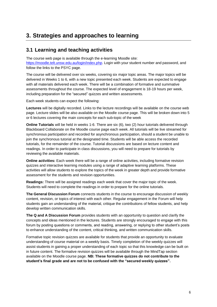# **3. Strategies and approaches to learning**

#### **3.1 Learning and teaching activities**

The course web page is available through the e-learning Moodle site:

[https://moodle.telt.unsw.edu.au/login/index.php.](https://moodle.telt.unsw.edu.au/login/index.php) Login with your student number and password, and follow the links to the PSYC page.

The course will be delivered over six weeks, covering six major topic areas. The major topics will be delivered in Weeks 1 to 6, with a new topic presented each week. Students are expected to engage with all materials delivered each week. There will be a combination of formative and summative assessments throughout the course. The expected level of engagement is 18-19 hours per week, including preparation for the "secured" quizzes and written assessments.

Each week students can expect the following:

**Lectures** will be digitally recorded. Links to the lecture recordings will be available on the course web page. Lecture slides will be also available on the Moodle course page. This will be broken down into 5 or 6 lectures covering the main concepts for each sub-topic of the week

**Online Tutorials** will be held in weeks 1-6. There are six (6), two (2) hour tutorials delivered through Blackboard Collaborate on the Moodle course page each week. All tutorials will be live streamed for synchronous participation and recorded for asynchronous participation, should a student be unable to join the synchronous tutorial at the designated time. Students will be able access the recorded tutorials, for the remainder of the course. Tutorial discussions are based on lecture content and readings. In order to participate in class discussions, you will need to prepare for tutorials by reviewing the available materials.

**Online activities:** Each week there will be a range of online activities, including formative revision quizzes and interactive learning modules using a range of adaptive learning platforms. These activities will allow students to explore the topics of the week in greater depth and provide formative assessment for the students and revision opportunities.

**Readings:** There will be assigned readings each week that cover the major topic of the week. Students will need to complete the readings in order to prepare for the online tutorials.

**The General Discussion Forum** connects students in the course to encourage discussion of weekly content, revision, or topics of interest with each other. Regular engagement in the Forum will help students gain an understanding of the material, critique the contributions of fellow students, and help develop written communication skills.

**The Q and A Discussion Forum** provides students with an opportunity to question and clarify the concepts and ideas mentioned in the lectures. Students are strongly encouraged to engage with this forum by posting questions or comments, and reading, answering, or replying to other student's posts to enhance understanding of the content, critical thinking, and written communication skills.

Formative topic revision quizzes are available for students that provide an opportunity to evaluate understanding of course material on a weekly basis. Timely completion of the weekly quizzes will assist students in gaining a proper understanding of each topic so that this knowledge can be built on in future content. The formative revision quizzes will be available through the MindTap section available on the Moodle course page. **NB: These formative quizzes do not contribute to the student's final grade and are not to be confused with the "secured weekly quizzes".**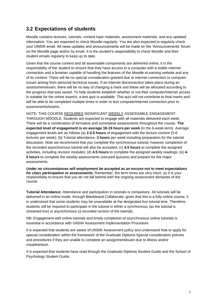#### **3.2 Expectations of students**

Moodle contains lectures, tutorials, content topic materials, assessment materials, and any updated information. You are expected to check Moodle regularly. You are also expected to regularly check your UNSW email. All news updates and announcements will be made on the 'Announcements' forum on the Moodle page and/or by email. It is the student's responsibility to check Moodle and their student emails regularly to keep up to date.

Given that the course content and all assessable components are delivered online, it is the responsibility of the student to ensure that they have access to a computer with a stable internet connection and a browser capable of handling the features of the Moodle eLearning website and any of its content. There will be no special consideration granted due to internet connection or computer issues arising from personal technical issues. If an internet disconnection takes place during an assessment/exam, there will be no way of changing a mark and these will be allocated according to the progress that was saved. To help students establish whether or not their computer/internet access is suitable for the online exam/s, a test quiz is available. This quiz will not contribute to final marks and will be able to be completed multiple times in order to test computer/internet connection prior to assessments/exams.

NOTE: THIS COURSE REQUIRES SIGNIFICANT WEEKLY ASSESSABLE ENGAGEMENT THROUGH MOODLE. Students are expected to engage with all materials delivered each week. There will be a combination of formative and summative assessments throughout the course. **The expected level of engagement is on average 18-19 hours per week** (in the 6-week term). Average engagement levels are as follows (a) **2-2.5 hours** of engagement with the lecture content (5-6 lectures per week); (b) Tutorial attendance, **3 hours** per week including preparation for the tutorial discussion. Note we recommend that you complete the synchronous tutorial, however completion of the recorded asynchronous tutorial will also be accepted; (c) **4.5 hours** to complete the assigned activities, including revision modules; (d) **4.5 hours** to complete the assigned weekly readings; (e) **4- 5 hours** to complete the weekly assessments (secured quizzes) and prepare for the major assessments.

*Under no circumstances will employment be accepted as an excuse not to meet expectations for class participation or assessments.* Remember, the term times are very short, so it is your responsibility to ensure that you do not fall behind with the ongoing assessment demands of the course.

**Tutorial Attendance:** Attendance and participation in tutorials is compulsory. All tutorials will be delivered in an online mode, through Blackboard Collaborate, given that this is a fully online course, it is understood that some students may be unavailable at the designated live tutorial time. Therefore, students will be required to participate in the tutorial in either a synchronous (as the tutorial is streamed live) or asynchronous (a recorded version of the tutorial).

NB: Engagement with online tutorials and timely completion of asynchronous online tutorials is essential in accordance with UNSW Assessment Implementation Procedure.

It is expected that students are aware of UNSW Assessment policy and understand how to apply for special consideration within the framework of the Graduate Diploma Special consideration policies and procedures if they are unable to complete an assignment/exam due to illness and/or misadventure.

It is expected that students have read through the Graduate Diploma Student Guide and the School of Psychology Student Guide.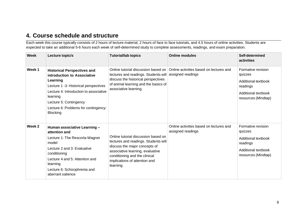### **4. Course schedule and structure**

Each week this course typically consists of 2 hours of lecture material, 2 hours of face to face tutorials, and 4.5 hours of online activities. Students are expected to take an additional 5-6 hours each week of self-determined study to complete assessments, readings, and exam preparation.

| Week   | Lecture topic/s                                                                                                                                                                                                                                                   | <b>Tutorial/lab topics</b>                                                                                                                                                                                                      | <b>Online modules</b>                                        | Self-determined<br>activities                                                                                  |
|--------|-------------------------------------------------------------------------------------------------------------------------------------------------------------------------------------------------------------------------------------------------------------------|---------------------------------------------------------------------------------------------------------------------------------------------------------------------------------------------------------------------------------|--------------------------------------------------------------|----------------------------------------------------------------------------------------------------------------|
| Week 1 | <b>Historical Perspectives and</b><br>introduction to Associative<br>Learning<br>Lecture 1 -3: Historical perspectives<br>Lecture 4: Introduction to associative<br>learning<br>Lecture 5: Contingency<br>Lecture 6: Problems for contingency:<br><b>Blocking</b> | Online tutorial discussion based on<br>lectures and readings. Students will<br>discuss the historical perspectives<br>of animal learning and the basics of<br>associative learning.                                             | Online activities based on lectures and<br>assigned readings | Formative revision<br>quizzes<br>Additional textbook<br>readings<br>Additional textbook<br>resources (Mindtap) |
| Week 2 | Human associative Learning -<br>attention and<br>Lecture 1: The Rescorla-Wagner<br>model<br>Lecture 2 and 3: Evaluative<br>conditioning<br>Lecture 4 and 5: Attention and<br>learning<br>Lecture 6: Schizophrenia and<br>aberrant salience                        | Online tutorial discussion based on<br>lectures and readings. Students will<br>discuss the major concepts of<br>associative learning, evaluative<br>conditioning and the clinical<br>implications of attention and<br>learning. | Online activities based on lectures and<br>assigned readings | Formative revision<br>quizzes<br>Additional textbook<br>readings<br>Additional textbook<br>resources (Mindtap) |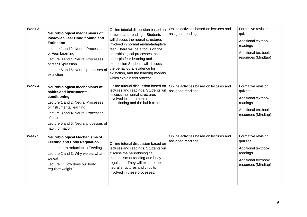| Week 3            | Neurobiological mechanisms of<br><b>Pavlovian Fear Conditioning and</b><br><b>Extinction</b><br>Lecture 1 and 2: Neural Processes<br>of Fear Learning<br>Lecture 3 and 4: Neural Processes<br>of fear Expression<br>Lecture 5 and 6: Neural processes of<br>extinction | Online tutorial discussion based on<br>lectures and readings. Students<br>will discuss the neural structures<br>involved in normal andmaladaptive<br>fear. There will be a focus on the<br>neurobiological processes that<br>underpin fear learning and<br>expression Students will discuss<br>the behavioural evidence for<br>extinction, and the learning models<br>which explain this process. | Online activities based on lectures and<br>assigned readings | Formative revision<br>quizzes<br>Additional textbook<br>readings<br>Additional textbook<br>resources (Mindtap)        |
|-------------------|------------------------------------------------------------------------------------------------------------------------------------------------------------------------------------------------------------------------------------------------------------------------|---------------------------------------------------------------------------------------------------------------------------------------------------------------------------------------------------------------------------------------------------------------------------------------------------------------------------------------------------------------------------------------------------|--------------------------------------------------------------|-----------------------------------------------------------------------------------------------------------------------|
| Week 4            | Neurobiological mechanisms of<br>habits and instrumental<br>conditioning<br>Lecture 1 and 2: Neural Processes<br>of instrumental learning<br>Lecture 3 and 4: Neural Processes<br>of habit<br>Lecture 5 and 6: Neural processes of<br>habit formation                  | Online tutorial discussion based on<br>lectures and readings. Students will<br>discuss the neural structures<br>involved in instrumental<br>conditioning and the habit circuit.                                                                                                                                                                                                                   | Online activities based on lectures and<br>assigned readings | Formative revision<br>quizzes<br>Additional textbook<br>readings<br>Additional textbook<br>resources (Mindtap)        |
| Week <sub>5</sub> | <b>Neurobiological Mechanisms of</b><br><b>Feeding and Body Regulation</b><br>Lecture 1: Introduction to Feeding<br>Lecture 2 and 3: Why we eat what<br>we eat<br>Lecture 4: How does our body<br>regulate weight?                                                     | Online tutorial discussion based on<br>lectures and readings. Students will<br>discuss the neurobiological<br>mechanism of feeding and body<br>regulation. They will explore the<br>neural structures and circuits<br>involved in these processes.                                                                                                                                                | Online activities based on lectures and<br>assigned readings | Formative revision<br>quizzes<br><b>Additional textbook</b><br>readings<br>Additional textbook<br>resources (Mindtap) |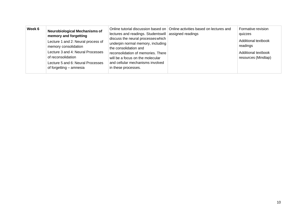| Week 6 | <b>Neurobiological Mechanisms of</b><br>memory and forgetting<br>Lecture 1 and 2: Neural process of<br>memory consolidation<br>Lecture 3 and 4: Neural Processes<br>of reconsolidation<br>Lecture 5 and 6: Neural Processes<br>of forgetting – amnesia | lectures and readings. Studentswill assigned readings<br>discuss the neural processes which<br>underpin normal memory, including<br>the consolidation and<br>reconsolidation of memories. There<br>will be a focus on the molecular<br>and cellular mechanisms involved<br>in these processes. | Online tutorial discussion based on   Online activities based on lectures and | Formative revision<br>quizzes<br>Additional textbook<br>readings<br>Additional textbook<br>resources (Mindtap) |
|--------|--------------------------------------------------------------------------------------------------------------------------------------------------------------------------------------------------------------------------------------------------------|------------------------------------------------------------------------------------------------------------------------------------------------------------------------------------------------------------------------------------------------------------------------------------------------|-------------------------------------------------------------------------------|----------------------------------------------------------------------------------------------------------------|
|--------|--------------------------------------------------------------------------------------------------------------------------------------------------------------------------------------------------------------------------------------------------------|------------------------------------------------------------------------------------------------------------------------------------------------------------------------------------------------------------------------------------------------------------------------------------------------|-------------------------------------------------------------------------------|----------------------------------------------------------------------------------------------------------------|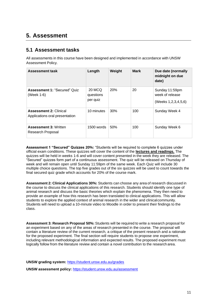## **5. Assessment**

#### **5.1 Assessment tasks**

All assessments in this course have been designed and implemented in accordance with UNSW Assessment Policy.

| <b>Assessment task</b>                                          | Length                          | Weight | <b>Mark</b> | Due date (normally<br>midnight on due<br>date)                |
|-----------------------------------------------------------------|---------------------------------|--------|-------------|---------------------------------------------------------------|
| <b>Assessment 1: "Secured" Quiz</b><br>(Week 1-6)               | 20 MCQ<br>questions<br>per quiz | 20%    | 20          | Sunday 11:59pm<br>week of release<br>(Weeks 1, 2, 3, 4, 5, 6) |
| <b>Assessment 2: Clinical</b><br>Applications oral presentation | 10 minutes                      | 30%    | 100         | Sunday Week 4                                                 |
| <b>Assessment 3: Written</b><br>Research Proposal               | $1500$ words                    | 50%    | 100         | Sunday Week 6                                                 |

**Assessment 1 "Secured" Quizzes 20%:** "Students will be required to complete 6 quizzes under official exam conditions. These quizzes will cover the content of the **lectures and readings.** The quizzes will be held in weeks 1-6 and will cover content presented in the week they are released. The "Secured" quizzes form part of a continuous assessment. The quiz will be released on Thursday of week and will remain open until Sunday 11:59pm of the same week. Each Quiz will include 30 multiple choice questions. The top five grades out of the six quizzes will be used to count towards the final secured quiz grade which accounts for 20% of the course mark.

**Assessment 2: Clinical Applications 30%:** Students can choose any areaof research discussedin the course to discuss the clinical applications of this research. Students should identify one type of animal research and discuss the basic theories which explain the phenomena. They then need to provide an example of how this research has been translated to clinical applications. This will allow students to explore the applied context of animal research in the wider and clinicalcommunity. Students will need to upload a 10-minute video to Moodle in order to present their findings to the class.

**Assessment 3: Research Proposal 50%:** Students will be required to write a research proposal for an experiment based on any of the areas of research presented in the course. The proposal will contain a literature review of the current research, a critique of the present research and a rationale for the proposed experiment. The final section will require students to propose one experiment, including relevant methodological information and expected results. The proposed experiment must logically follow from the literature review and contain a novel contribution to the researcharea.

**UNSW grading system:** <https://student.unsw.edu.au/grades>

**UNSW assessment policy:** <https://student.unsw.edu.au/assessment>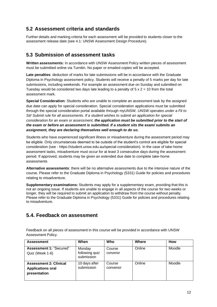#### **5.2 Assessment criteria and standards**

Further details and marking criteria for each assessment will be provided to students closer to the assessment release date (see 4.1: UNSW Assessment Design Procedure).

#### **5.3 Submission of assessment tasks**

**Written assessments:** In accordance with UNSW Assessment Policy written pieces of assessment must be submitted online via Turnitin. No paper or emailed copies will be accepted.

**Late penalties**: deduction of marks for late submissions will be in accordance with the Graduate Diploma in Psychology assessment policy. Students will receive a penalty of 5 marks per day for late submissions, including weekends. For example an assessment due on Sunday and submitted on Tuesday would be considered two days late leading to a penalty of  $5 \times 2 = 10$  from the total assessment mark.

**Special Consideration:** Students who are unable to complete an assessment task by the assigned due date can apply for special consideration. Special consideration applications must be submitted through the special consideration portal available through myUNSW. *UNSW operates under a Fit to Sit/ Submit rule for all assessments. If a student wishes to submit an application for special consideration for an exam or assessment, the application must be submitted prior to the start of the exam or before an assessment is submitted. If a student sits the exam/ submits an assignment, they are declaring themselves well enough to do so.*

Students who have experienced significant illness or misadventure during the assessment period may be eligible. Only circumstances deemed to be outside of the student's control are eligible for special consideration (see - https://student.unsw.edu.au/special-consideration). In the case of take-home assessment tasks, misadventure must occur for at least 3 consecutive days during the assessment period. If approved, students may be given an extended due date to complete take-home assessments

**Alternative assessments**: there will be no alternative assessments due to the intensive nature of the course. Please refer to the Graduate Diploma in Psychology (5331) Guide for policies and procedures relating to misadventure.

**Supplementary examinations:** Students may apply for a supplementary exam, providing that this is not an ongoing issue. If students are unable to engage in all aspects of the course for two weeks or longer, they will be required to submit an application to withdraw from the course without penalty. Please refer to the Graduate Diploma in Psychology (5331) Guide for policies and procedures relating to misadventure.

#### **5.4. Feedback on assessment**

Feedback on all pieces of assessment in this course will be provided in accordance with UNSW Assessment Policy.

| <b>Assessment</b>                                                         | When                                   | Who                | Where  | <b>How</b> |
|---------------------------------------------------------------------------|----------------------------------------|--------------------|--------|------------|
| Assessment 1: "Secured"<br>Quiz (Week 1-6)                                | Monday<br>following quiz<br>submission | Course<br>convenor | Online | Moodle     |
| <b>Assessment 2: Clinical</b><br><b>Applications oral</b><br>presentation | 10 days after<br>submission            | Course<br>convenor | Online | Moodle     |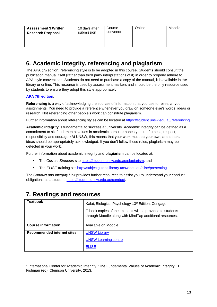| <b>Assessment 3 Written</b><br><b>Research Proposal</b> | 10 days after<br>submission | Course<br>convenor | Online | Moodle |
|---------------------------------------------------------|-----------------------------|--------------------|--------|--------|
|---------------------------------------------------------|-----------------------------|--------------------|--------|--------|

# **6. Academic integrity, referencing and plagiarism**

The APA (7th edition) referencing style is to be adopted in this course. Students should consult the publication manual itself (rather than third party interpretations of it) in order to properly adhere to APA style conventions. Students do not need to purchase a copy of the manual, it is available in the library or online. This resource is used by assessment markers and should be the only resource used by students to ensure they adopt this style appropriately:

#### **APA 7th [edition.](http://www.apastyle.org/manual/index.aspx)**

**Referencing** is a way of acknowledging the sources of information that you use to research your assignments. You need to provide a reference whenever you draw on someone else's words, ideas or research. Not referencing other people's work can constitute plagiarism.

Further information about referencing styles can be located at <https://student.unsw.edu.au/referencing>

**Academic integrity** is fundamental to success at university. Academic integrity can be defined as a commitment to six fundamental values in academic pursuits**:** honesty, trust, fairness, respect, responsibility and courage.*1* At UNSW, this means that your work must be your own, and others' ideas should be appropriately acknowledged. If you don't follow these rules, plagiarism may be detected in your work.

Further information about academic integrity and **plagiarism** can be located at:

- The *Current Students* site <https://student.unsw.edu.au/plagiarism>*,* and
- The *ELISE* training site http://subjectguides.library.unsw.edu.au/elise/presenting

The *Conduct and Integrity Unit* provides further resources to assist you to understand your conduct obligations as a student: [https://student.unsw.edu.au/conduct.](https://student.unsw.edu.au/conduct)

# **7. Readings and resources**

| <b>Textbook</b>                   | Kalat, Biological Psychology 13 <sup>th</sup> Edition, Cengage.                                                       |
|-----------------------------------|-----------------------------------------------------------------------------------------------------------------------|
|                                   | E-book copies of the textbook will be provided to students<br>through Moodle along with MindTap additional resources. |
| <b>Course information</b>         | Available on Moodle                                                                                                   |
| <b>Recommended internet sites</b> | <b>UNSW Library</b>                                                                                                   |
|                                   | <b>UNSW Learning centre</b>                                                                                           |
|                                   | <b>ELISE</b>                                                                                                          |

1 International Center for Academic Integrity, 'The Fundamental Values of Academic Integrity', T. Fishman (ed), Clemson University, 2013.